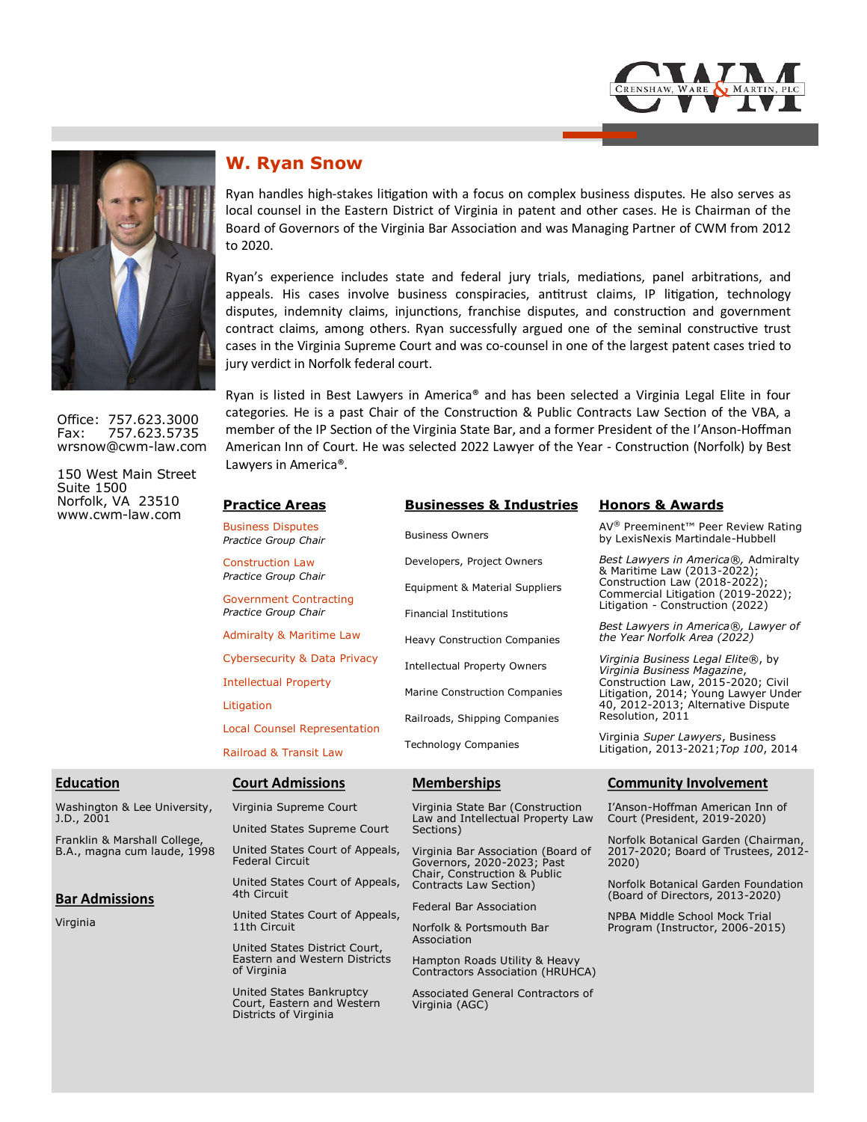



Office: 757.623.3000 Fax: 757.623.5735 wrsnow@cwm-law.com

150 West Main Street Suite 1500 Norfolk, VA 23510 www.cwm-law.com

# **W. Ryan Snow**

Ryan handles high-stakes litigation with a focus on complex business disputes. He also serves as local counsel in the Eastern District of Virginia in patent and other cases. He is Chairman of the Board of Governors of the Virginia Bar Association and was Managing Partner of CWM from 2012 to 2020.

Ryan's experience includes state and federal jury trials, mediations, panel arbitrations, and appeals. His cases involve business conspiracies, antitrust claims, IP litigation, technology disputes, indemnity claims, injunctions, franchise disputes, and construction and government contract claims, among others. Ryan successfully argued one of the seminal constructive trust cases in the Virginia Supreme Court and was co-counsel in one of the largest patent cases tried to jury verdict in Norfolk federal court.

Ryan is listed in Best Lawyers in America® and has been selected a Virginia Legal Elite in four categories. He is a past Chair of the Construction & Public Contracts Law Section of the VBA, a member of the IP Section of the Virginia State Bar, and a former President of the I'Anson-Hoffman American Inn of Court. He was selected 2022 Lawyer of the Year - Construction (Norfolk) by Best Lawyers in America®.

|     | <b>Practice Areas</b>                            | <b>Businesses &amp; Industries</b>                                    | <b>Honors &amp; Awards</b>                                                                              |
|-----|--------------------------------------------------|-----------------------------------------------------------------------|---------------------------------------------------------------------------------------------------------|
|     | <b>Business Disputes</b><br>Practice Group Chair | <b>Business Owners</b>                                                | AV <sup>®</sup> Preeminent <sup>™</sup> Peer Review Rating<br>by LexisNexis Martindale-Hubbell          |
|     | <b>Construction Law</b><br>Practice Group Chair  | Developers, Project Owners                                            | Best Lawyers in America®, Admiralty<br>& Maritime Law (2013-2022);                                      |
|     | <b>Government Contracting</b>                    | Equipment & Material Suppliers                                        | Construction Law (2018-2022);<br>Commercial Litigation (2019-2022);<br>Litigation - Construction (2022) |
|     | Practice Group Chair                             | <b>Financial Institutions</b>                                         |                                                                                                         |
|     | <b>Admiralty &amp; Maritime Law</b>              | <b>Heavy Construction Companies</b>                                   | Best Lawyers in America®, Lawyer of<br>the Year Norfolk Area (2022)                                     |
|     | Cybersecurity & Data Privacy                     | Intellectual Property Owners                                          | Virginia Business Legal Elite®, by<br>Virginia Business Magazine,                                       |
|     | <b>Intellectual Property</b>                     | Marine Construction Companies                                         | Construction Law, 2015-2020; Civil<br>Litigation, 2014; Young Lawyer Under                              |
|     | Litigation                                       |                                                                       | 40, 2012-2013; Alternative Dispute<br>Resolution, 2011                                                  |
|     | <b>Local Counsel Representation</b>              | Railroads, Shipping Companies                                         |                                                                                                         |
|     | <b>Railroad &amp; Transit Law</b>                | <b>Technology Companies</b>                                           | Virginia Super Lawyers, Business<br>Litigation, 2013-2021; Top 100, 2014                                |
|     | <b>Court Admissions</b>                          | <b>Memberships</b>                                                    | <b>Community Involvement</b>                                                                            |
| ty, | Virginia Supreme Court                           | Virginia State Bar (Construction<br>Law and Intellectual Property Law | I'Anson-Hoffman American Inn of<br>Court (President, 2019-2020)                                         |

#### **Education**

Washington & Lee Universi J.D., 2001

Franklin & Marshall College, B.A., magna cum laude, 1998

#### **Bar Admissions**

Virginia

United States Supreme Court

United States Court of Appeals, Federal Circuit

United States Court of Appeals, 4th Circuit

United States Court of Appeals, 11th Circuit

United States District Court, Eastern and Western Districts of Virginia

United States Bankruptcy Court, Eastern and Western Districts of Virginia

Law and Intellectual Property Law Sections) Virginia Bar Association (Board of

Governors, 2020-2023; Past Chair, Construction & Public Contracts Law Section)

Federal Bar Association

Norfolk & Portsmouth Bar Association

Hampton Roads Utility & Heavy Contractors Association (HRUHCA)

Associated General Contractors of Virginia (AGC)

Norfolk Botanical Garden (Chairman, 2017-2020; Board of Trustees, 2012- 2020)

Norfolk Botanical Garden Foundation (Board of Directors, 2013-2020)

NPBA Middle School Mock Trial Program (Instructor, 2006-2015)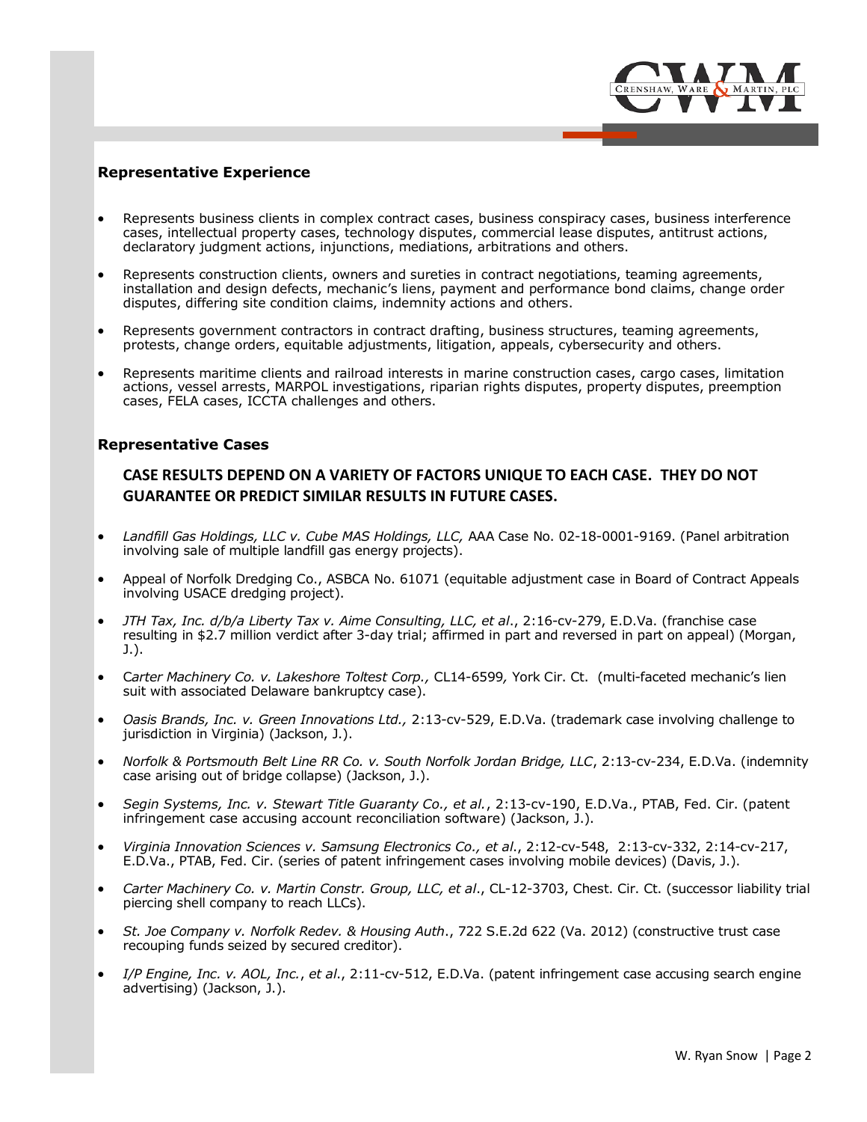

## **Representative Experience**

- Represents business clients in complex contract cases, business conspiracy cases, business interference cases, intellectual property cases, technology disputes, commercial lease disputes, antitrust actions, declaratory judgment actions, injunctions, mediations, arbitrations and others.
- Represents construction clients, owners and sureties in contract negotiations, teaming agreements, installation and design defects, mechanic's liens, payment and performance bond claims, change order disputes, differing site condition claims, indemnity actions and others.
- Represents government contractors in contract drafting, business structures, teaming agreements, protests, change orders, equitable adjustments, litigation, appeals, cybersecurity and others.
- Represents maritime clients and railroad interests in marine construction cases, cargo cases, limitation actions, vessel arrests, MARPOL investigations, riparian rights disputes, property disputes, preemption cases, FELA cases, ICCTA challenges and others.

### **Representative Cases**

# **CASE RESULTS DEPEND ON A VARIETY OF FACTORS UNIQUE TO EACH CASE. THEY DO NOT GUARANTEE OR PREDICT SIMILAR RESULTS IN FUTURE CASES.**

- *Landfill Gas Holdings, LLC v. Cube MAS Holdings, LLC,* AAA Case No. 02-18-0001-9169. (Panel arbitration involving sale of multiple landfill gas energy projects).
- Appeal of Norfolk Dredging Co., ASBCA No. 61071 (equitable adjustment case in Board of Contract Appeals involving USACE dredging project).
- *JTH Tax, Inc. d/b/a Liberty Tax v. Aime Consulting, LLC, et al*., 2:16-cv-279, E.D.Va. (franchise case resulting in \$2.7 million verdict after 3-day trial; affirmed in part and reversed in part on appeal) (Morgan, J.).
- C*arter Machinery Co. v. Lakeshore Toltest Corp.,* CL14-6599*,* York Cir. Ct. (multi-faceted mechanic's lien suit with associated Delaware bankruptcy case).
- *Oasis Brands, Inc. v. Green Innovations Ltd.,* 2:13-cv-529, E.D.Va. (trademark case involving challenge to jurisdiction in Virginia) (Jackson, J.).
- *Norfolk & Portsmouth Belt Line RR Co. v. South Norfolk Jordan Bridge, LLC*, 2:13-cv-234, E.D.Va. (indemnity case arising out of bridge collapse) (Jackson, J.).
- *Segin Systems, Inc. v. Stewart Title Guaranty Co., et al.*, 2:13-cv-190, E.D.Va., PTAB, Fed. Cir. (patent infringement case accusing account reconciliation software) (Jackson, J.).
- *Virginia Innovation Sciences v. Samsung Electronics Co., et al*., 2:12-cv-548, 2:13-cv-332, 2:14-cv-217, E.D.Va., PTAB, Fed. Cir. (series of patent infringement cases involving mobile devices) (Davis, J.).
- *Carter Machinery Co. v. Martin Constr. Group, LLC, et al*., CL-12-3703, Chest. Cir. Ct. (successor liability trial piercing shell company to reach LLCs).
- *St. Joe Company v. Norfolk Redev. & Housing Auth*., 722 S.E.2d 622 (Va. 2012) (constructive trust case recouping funds seized by secured creditor).
- *I/P Engine, Inc. v. AOL, Inc.*, *et al*., 2:11-cv-512, E.D.Va. (patent infringement case accusing search engine advertising) (Jackson, J.).